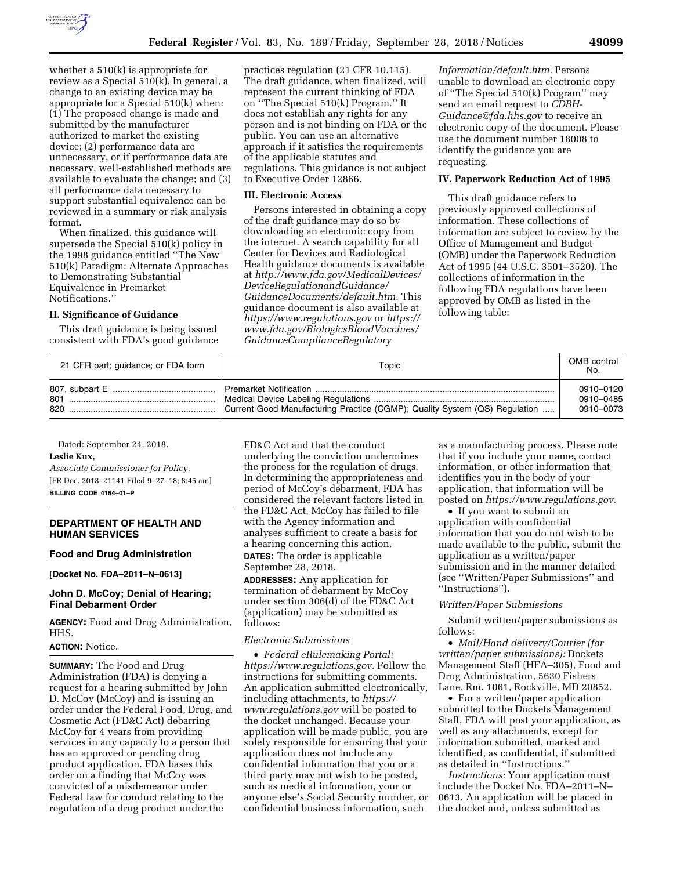

whether a 510(k) is appropriate for review as a Special 510(k). In general, a change to an existing device may be appropriate for a Special 510(k) when: (1) The proposed change is made and submitted by the manufacturer authorized to market the existing device; (2) performance data are unnecessary, or if performance data are necessary, well-established methods are available to evaluate the change; and (3) all performance data necessary to support substantial equivalence can be reviewed in a summary or risk analysis format.

When finalized, this guidance will supersede the Special 510(k) policy in the 1998 guidance entitled ''The New 510(k) Paradigm: Alternate Approaches to Demonstrating Substantial Equivalence in Premarket Notifications.''

## **II. Significance of Guidance**

This draft guidance is being issued consistent with FDA's good guidance

practices regulation (21 CFR 10.115). The draft guidance, when finalized, will represent the current thinking of FDA on ''The Special 510(k) Program.'' It does not establish any rights for any person and is not binding on FDA or the public. You can use an alternative approach if it satisfies the requirements of the applicable statutes and regulations. This guidance is not subject to Executive Order 12866.

## **III. Electronic Access**

Persons interested in obtaining a copy of the draft guidance may do so by downloading an electronic copy from the internet. A search capability for all Center for Devices and Radiological Health guidance documents is available at *[http://www.fda.gov/MedicalDevices/](http://www.fda.gov/MedicalDevices/DeviceRegulationandGuidance/GuidanceDocuments/default.htm) [DeviceRegulationandGuidance/](http://www.fda.gov/MedicalDevices/DeviceRegulationandGuidance/GuidanceDocuments/default.htm)  [GuidanceDocuments/default.htm.](http://www.fda.gov/MedicalDevices/DeviceRegulationandGuidance/GuidanceDocuments/default.htm)* This guidance document is also available at *<https://www.regulations.gov>* or *[https://](https://www.fda.gov/BiologicsBloodVaccines/GuidanceComplianceRegulatoryInformation/default.htm) [www.fda.gov/BiologicsBloodVaccines/](https://www.fda.gov/BiologicsBloodVaccines/GuidanceComplianceRegulatoryInformation/default.htm) [GuidanceComplianceRegulatory](https://www.fda.gov/BiologicsBloodVaccines/GuidanceComplianceRegulatoryInformation/default.htm)*

*[Information/default.htm.](https://www.fda.gov/BiologicsBloodVaccines/GuidanceComplianceRegulatoryInformation/default.htm)* Persons unable to download an electronic copy of ''The Special 510(k) Program'' may send an email request to *[CDRH-](mailto:CDRH-Guidance@fda.hhs.gov)[Guidance@fda.hhs.gov](mailto:CDRH-Guidance@fda.hhs.gov)* to receive an electronic copy of the document. Please use the document number 18008 to identify the guidance you are requesting.

## **IV. Paperwork Reduction Act of 1995**

This draft guidance refers to previously approved collections of information. These collections of information are subject to review by the Office of Management and Budget (OMB) under the Paperwork Reduction Act of 1995 (44 U.S.C. 3501–3520). The collections of information in the following FDA regulations have been approved by OMB as listed in the following table:

| 21 CFR part; guidance; or FDA form | Topic                                                                      | OMB control<br>No.                  |
|------------------------------------|----------------------------------------------------------------------------|-------------------------------------|
| 801.<br>820.                       | Current Good Manufacturing Practice (CGMP); Quality System (QS) Regulation | 0910-0120<br>0910-0485<br>0910-0073 |

Dated: September 24, 2018. **Leslie Kux,** 

*Associate Commissioner for Policy.*  [FR Doc. 2018–21141 Filed 9–27–18; 8:45 am] **BILLING CODE 4164–01–P** 

# **DEPARTMENT OF HEALTH AND HUMAN SERVICES**

## **Food and Drug Administration**

**[Docket No. FDA–2011–N–0613]** 

### **John D. McCoy; Denial of Hearing; Final Debarment Order**

**AGENCY:** Food and Drug Administration, HHS.

## **ACTION:** Notice.

**SUMMARY:** The Food and Drug Administration (FDA) is denying a request for a hearing submitted by John D. McCoy (McCoy) and is issuing an order under the Federal Food, Drug, and Cosmetic Act (FD&C Act) debarring McCoy for 4 years from providing services in any capacity to a person that has an approved or pending drug product application. FDA bases this order on a finding that McCoy was convicted of a misdemeanor under Federal law for conduct relating to the regulation of a drug product under the

FD&C Act and that the conduct underlying the conviction undermines the process for the regulation of drugs. In determining the appropriateness and period of McCoy's debarment, FDA has considered the relevant factors listed in the FD&C Act. McCoy has failed to file with the Agency information and analyses sufficient to create a basis for a hearing concerning this action. **DATES:** The order is applicable September 28, 2018.

**ADDRESSES:** Any application for termination of debarment by McCoy under section 306(d) of the FD&C Act (application) may be submitted as follows:

### *Electronic Submissions*

• *Federal eRulemaking Portal: [https://www.regulations.gov.](https://www.regulations.gov)* Follow the instructions for submitting comments. An application submitted electronically, including attachments, to *[https://](https://www.regulations.gov) [www.regulations.gov](https://www.regulations.gov)* will be posted to the docket unchanged. Because your application will be made public, you are solely responsible for ensuring that your application does not include any confidential information that you or a third party may not wish to be posted, such as medical information, your or anyone else's Social Security number, or confidential business information, such

as a manufacturing process. Please note that if you include your name, contact information, or other information that identifies you in the body of your application, that information will be posted on *[https://www.regulations.gov.](https://www.regulations.gov)* 

• If you want to submit an application with confidential information that you do not wish to be made available to the public, submit the application as a written/paper submission and in the manner detailed (see ''Written/Paper Submissions'' and ''Instructions'').

#### *Written/Paper Submissions*

Submit written/paper submissions as follows:

• *Mail/Hand delivery/Courier (for written/paper submissions):* Dockets Management Staff (HFA–305), Food and Drug Administration, 5630 Fishers Lane, Rm. 1061, Rockville, MD 20852.

• For a written/paper application submitted to the Dockets Management Staff, FDA will post your application, as well as any attachments, except for information submitted, marked and identified, as confidential, if submitted as detailed in ''Instructions.''

*Instructions:* Your application must include the Docket No. FDA–2011–N– 0613. An application will be placed in the docket and, unless submitted as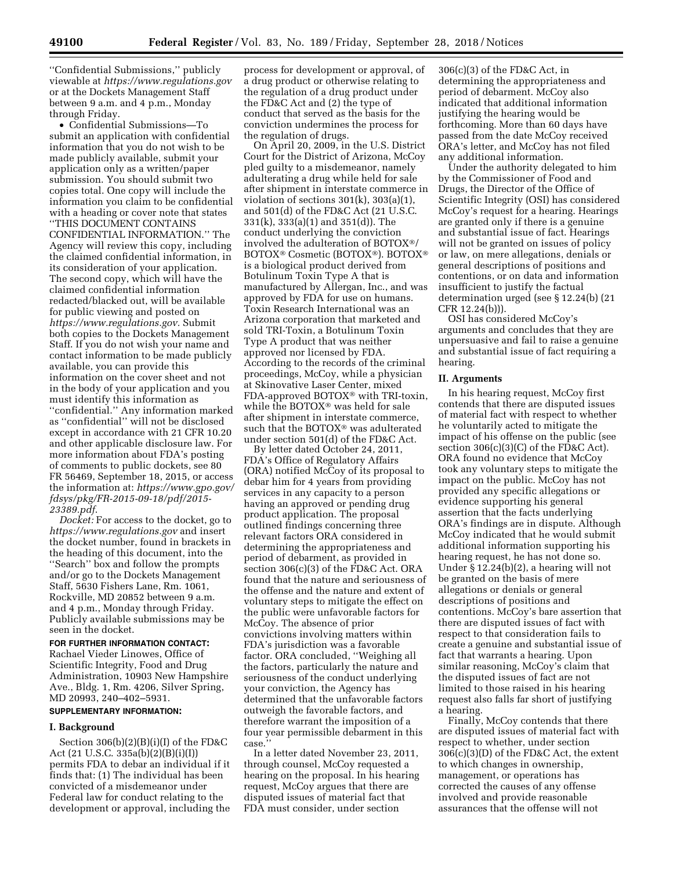''Confidential Submissions,'' publicly viewable at *<https://www.regulations.gov>* or at the Dockets Management Staff between 9 a.m. and 4 p.m., Monday through Friday.

• Confidential Submissions—To submit an application with confidential information that you do not wish to be made publicly available, submit your application only as a written/paper submission. You should submit two copies total. One copy will include the information you claim to be confidential with a heading or cover note that states ''THIS DOCUMENT CONTAINS CONFIDENTIAL INFORMATION.'' The Agency will review this copy, including the claimed confidential information, in its consideration of your application. The second copy, which will have the claimed confidential information redacted/blacked out, will be available for public viewing and posted on *[https://www.regulations.gov.](https://www.regulations.gov)* Submit both copies to the Dockets Management Staff. If you do not wish your name and contact information to be made publicly available, you can provide this information on the cover sheet and not in the body of your application and you must identify this information as ''confidential.'' Any information marked as ''confidential'' will not be disclosed except in accordance with 21 CFR 10.20 and other applicable disclosure law. For more information about FDA's posting of comments to public dockets, see 80 FR 56469, September 18, 2015, or access the information at: *[https://www.gpo.gov/](https://www.gpo.gov/fdsys/pkg/FR-2015-09-18/pdf/2015-23389.pdf) [fdsys/pkg/FR-2015-09-18/pdf/2015-](https://www.gpo.gov/fdsys/pkg/FR-2015-09-18/pdf/2015-23389.pdf)  [23389.pdf](https://www.gpo.gov/fdsys/pkg/FR-2015-09-18/pdf/2015-23389.pdf)*.

*Docket:* For access to the docket, go to *<https://www.regulations.gov>* and insert the docket number, found in brackets in the heading of this document, into the ''Search'' box and follow the prompts and/or go to the Dockets Management Staff, 5630 Fishers Lane, Rm. 1061, Rockville, MD 20852 between 9 a.m. and 4 p.m., Monday through Friday. Publicly available submissions may be seen in the docket.

**FOR FURTHER INFORMATION CONTACT:**  Rachael Vieder Linowes, Office of Scientific Integrity, Food and Drug Administration, 10903 New Hampshire Ave., Bldg. 1, Rm. 4206, Silver Spring, MD 20993, 240–402–5931.

# **SUPPLEMENTARY INFORMATION:**

#### **I. Background**

Section 306(b)(2)(B)(i)(I) of the FD&C Act (21 U.S.C. 335a(b)(2)(B)(i)(I)) permits FDA to debar an individual if it finds that: (1) The individual has been convicted of a misdemeanor under Federal law for conduct relating to the development or approval, including the

process for development or approval, of a drug product or otherwise relating to the regulation of a drug product under the FD&C Act and (2) the type of conduct that served as the basis for the conviction undermines the process for the regulation of drugs.

On April 20, 2009, in the U.S. District Court for the District of Arizona, McCoy pled guilty to a misdemeanor, namely adulterating a drug while held for sale after shipment in interstate commerce in violation of sections  $301(k)$ ,  $303(a)(1)$ , and 501(d) of the FD&C Act (21 U.S.C. 331(k), 333(a)(1) and 351(d)). The conduct underlying the conviction involved the adulteration of BOTOX®/ BOTOX® Cosmetic (BOTOX®). BOTOX® is a biological product derived from Botulinum Toxin Type A that is manufactured by Allergan, Inc., and was approved by FDA for use on humans. Toxin Research International was an Arizona corporation that marketed and sold TRI-Toxin, a Botulinum Toxin Type A product that was neither approved nor licensed by FDA. According to the records of the criminal proceedings, McCoy, while a physician at Skinovative Laser Center, mixed FDA-approved BOTOX® with TRI-toxin, while the BOTOX® was held for sale after shipment in interstate commerce, such that the BOTOX® was adulterated under section 501(d) of the FD&C Act.

By letter dated October 24, 2011, FDA's Office of Regulatory Affairs (ORA) notified McCoy of its proposal to debar him for 4 years from providing services in any capacity to a person having an approved or pending drug product application. The proposal outlined findings concerning three relevant factors ORA considered in determining the appropriateness and period of debarment, as provided in section 306(c)(3) of the FD&C Act. ORA found that the nature and seriousness of the offense and the nature and extent of voluntary steps to mitigate the effect on the public were unfavorable factors for McCoy. The absence of prior convictions involving matters within FDA's jurisdiction was a favorable factor. ORA concluded, ''Weighing all the factors, particularly the nature and seriousness of the conduct underlying your conviction, the Agency has determined that the unfavorable factors outweigh the favorable factors, and therefore warrant the imposition of a four year permissible debarment in this case.''

In a letter dated November 23, 2011, through counsel, McCoy requested a hearing on the proposal. In his hearing request, McCoy argues that there are disputed issues of material fact that FDA must consider, under section

306(c)(3) of the FD&C Act, in determining the appropriateness and period of debarment. McCoy also indicated that additional information justifying the hearing would be forthcoming. More than 60 days have passed from the date McCoy received ORA's letter, and McCoy has not filed any additional information.

Under the authority delegated to him by the Commissioner of Food and Drugs, the Director of the Office of Scientific Integrity (OSI) has considered McCoy's request for a hearing. Hearings are granted only if there is a genuine and substantial issue of fact. Hearings will not be granted on issues of policy or law, on mere allegations, denials or general descriptions of positions and contentions, or on data and information insufficient to justify the factual determination urged (see § 12.24(b) (21 CFR 12.24(b))).

OSI has considered McCoy's arguments and concludes that they are unpersuasive and fail to raise a genuine and substantial issue of fact requiring a hearing.

### **II. Arguments**

In his hearing request, McCoy first contends that there are disputed issues of material fact with respect to whether he voluntarily acted to mitigate the impact of his offense on the public (see section  $306(c)(3)(C)$  of the FD&C Act). ORA found no evidence that McCoy took any voluntary steps to mitigate the impact on the public. McCoy has not provided any specific allegations or evidence supporting his general assertion that the facts underlying ORA's findings are in dispute. Although McCoy indicated that he would submit additional information supporting his hearing request, he has not done so. Under § 12.24(b)(2), a hearing will not be granted on the basis of mere allegations or denials or general descriptions of positions and contentions. McCoy's bare assertion that there are disputed issues of fact with respect to that consideration fails to create a genuine and substantial issue of fact that warrants a hearing. Upon similar reasoning, McCoy's claim that the disputed issues of fact are not limited to those raised in his hearing request also falls far short of justifying a hearing.

Finally, McCoy contends that there are disputed issues of material fact with respect to whether, under section 306(c)(3)(D) of the FD&C Act, the extent to which changes in ownership, management, or operations has corrected the causes of any offense involved and provide reasonable assurances that the offense will not